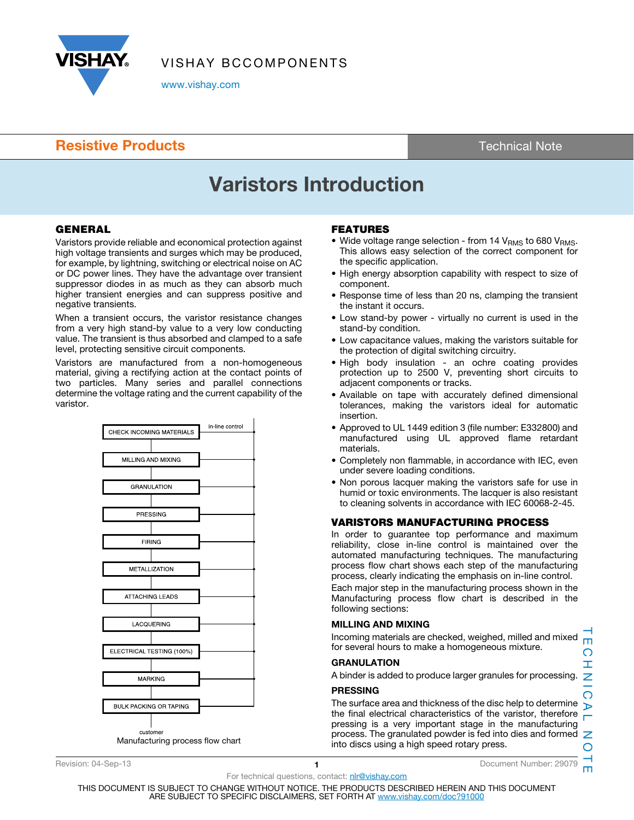

VISHAY BCCOMPONENTS

www.vishay.com

## **Resistive Products** Technical Note

# Varistors Introduction

## **GENERAL**

Varistors provide reliable and economical protection against high voltage transients and surges which may be produced, for example, by lightning, switching or electrical noise on AC or DC power lines. They have the advantage over transient suppressor diodes in as much as they can absorb much higher transient energies and can suppress positive and negative transients.

When a transient occurs, the varistor resistance changes from a very high stand-by value to a very low conducting value. The transient is thus absorbed and clamped to a safe level, protecting sensitive circuit components.

Varistors are manufactured from a non-homogeneous material, giving a rectifying action at the contact points of two particles. Many series and parallel connections determine the voltage rating and the current capability of the varistor.



## FEATURES

- Wide voltage range selection from 14  $V<sub>RMS</sub>$  to 680  $V<sub>RMS</sub>$ . This allows easy selection of the correct component for the specific application.
- High energy absorption capability with respect to size of component.
- Response time of less than 20 ns, clamping the transient the instant it occurs.
- Low stand-by power virtually no current is used in the stand-by condition.
- Low capacitance values, making the varistors suitable for the protection of digital switching circuitry.
- High body insulation an ochre coating provides protection up to 2500 V, preventing short circuits to adjacent components or tracks.
- Available on tape with accurately defined dimensional tolerances, making the varistors ideal for automatic insertion.
- Approved to UL 1449 edition 3 (file number: E332800) and manufactured using UL approved flame retardant materials.
- Completely non flammable, in accordance with IEC, even under severe loading conditions.
- Non porous lacquer making the varistors safe for use in humid or toxic environments. The lacquer is also resistant to cleaning solvents in accordance with IEC 60068-2-45.

## VARISTORS MANUFACTURING PROCESS

In order to guarantee top performance and maximum reliability, close in-line control is maintained over the automated manufacturing techniques. The manufacturing process flow chart shows each step of the manufacturing process, clearly indicating the emphasis on in-line control.

Each major step in the manufacturing process shown in the Manufacturing process flow chart is described in the following sections:

## MILLING AND MIXING

Incoming materials are checked, weighed, milled and mixed for several hours to make a homogeneous mixture.

#### GRANULATION

A binder is added to produce larger granules for processing.

#### PRESSING

The surface area and thickness of the disc help to determine the final electrical characteristics of the varistor, therefore pressing is a very important stage in the manufacturing process. The granulated powder is fed into dies and formed  $\mathbb Z$ into discs using a high speed rotary press.

Revision: 04-Sep-13 **1 1** Document Number: 29079

For technical questions, contact: nlr@vishay.com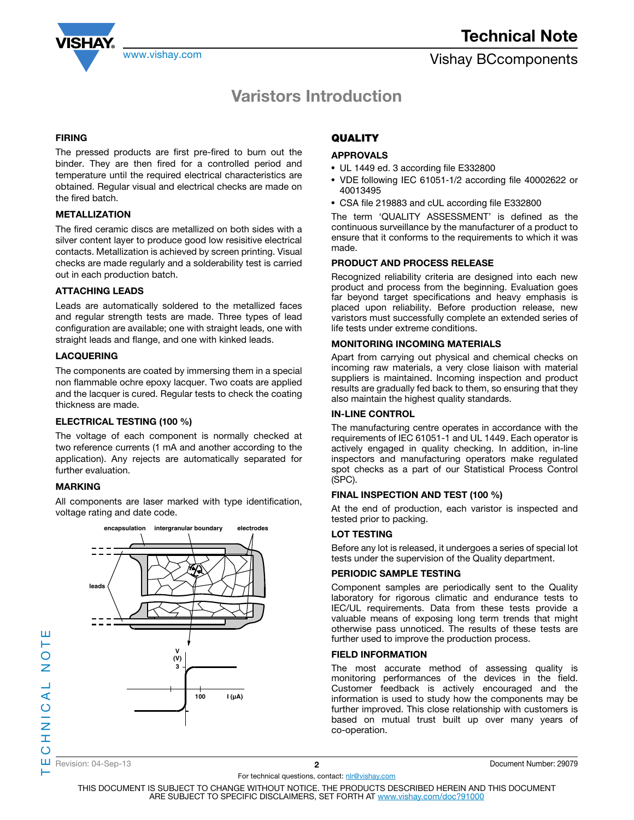

## Varistors Introduction

#### FIRING

The pressed products are first pre-fired to burn out the binder. They are then fired for a controlled period and temperature until the required electrical characteristics are obtained. Regular visual and electrical checks are made on the fired batch.

### METALLIZATION

The fired ceramic discs are metallized on both sides with a silver content layer to produce good low resisitive electrical contacts. Metallization is achieved by screen printing. Visual checks are made regularly and a solderability test is carried out in each production batch.

### ATTACHING LEADS

Leads are automatically soldered to the metallized faces and regular strength tests are made. Three types of lead configuration are available; one with straight leads, one with straight leads and flange, and one with kinked leads.

#### LACQUERING

The components are coated by immersing them in a special non flammable ochre epoxy lacquer. Two coats are applied and the lacquer is cured. Regular tests to check the coating thickness are made.

#### ELECTRICAL TESTING (100 %)

The voltage of each component is normally checked at two reference currents (1 mA and another according to the application). Any rejects are automatically separated for further evaluation.

## MARKING

All components are laser marked with type identification, voltage rating and date code.



## **QUALITY**

### APPROVALS

- UL 1449 ed. 3 according file E332800
- VDE following IEC 61051-1/2 according file 40002622 or 40013495
- CSA file 219883 and cUL according file E332800

The term 'QUALITY ASSESSMENT' is defined as the continuous surveillance by the manufacturer of a product to ensure that it conforms to the requirements to which it was made.

#### PRODUCT AND PROCESS RELEASE

Recognized reliability criteria are designed into each new product and process from the beginning. Evaluation goes far beyond target specifications and heavy emphasis is placed upon reliability. Before production release, new varistors must successfully complete an extended series of life tests under extreme conditions.

### MONITORING INCOMING MATERIALS

Apart from carrying out physical and chemical checks on incoming raw materials, a very close liaison with material suppliers is maintained. Incoming inspection and product results are gradually fed back to them, so ensuring that they also maintain the highest quality standards.

#### IN-LINE CONTROL

The manufacturing centre operates in accordance with the requirements of IEC 61051-1 and UL 1449 . Each operator is actively engaged in quality checking. In addition, in-line inspectors and manufacturing operators make regulated spot checks as a part of our Statistical Process Control (SPC).

## FINAL INSPECTION AND TEST (100 %)

At the end of production, each varistor is inspected and tested prior to packing.

#### LOT TESTING

Before any lot is released, it undergoes a series of special lot tests under the supervision of the Quality department.

## PERIODIC SAMPLE TESTING

Component samples are periodically sent to the Quality laboratory for rigorous climatic and endurance tests to IEC/UL requirements. Data from these tests provide a valuable means of exposing long term trends that might otherwise pass unnoticed. The results of these tests are further used to improve the production process.

#### FIELD INFORMATION

The most accurate method of assessing quality is monitoring performances of the devices in the field. Customer feedback is actively encouraged and the information is used to study how the components may be further improved. This close relationship with customers is based on mutual trust built up over many years of co-operation.

⊢

ш

For technical questions, contact: nlr@vishay.com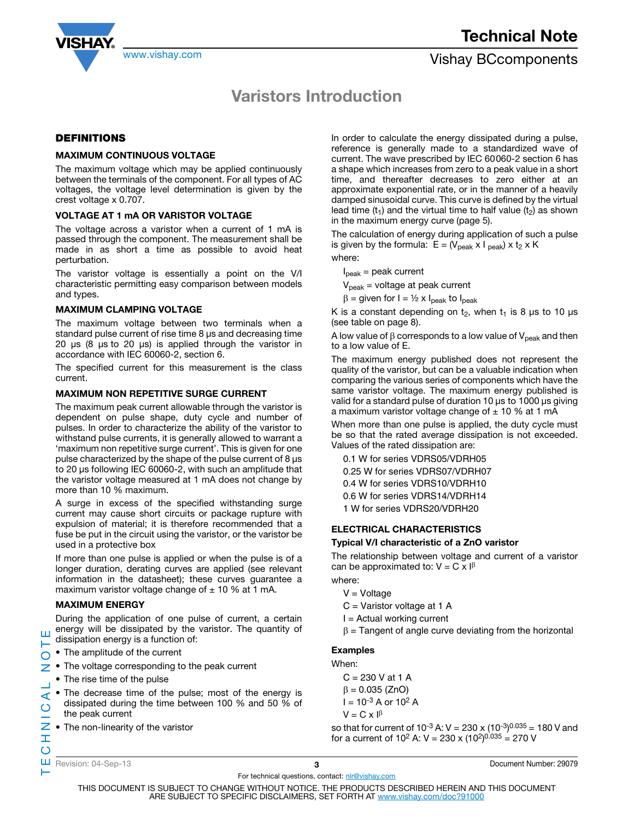

## Varistors Introduction

## DEFINITIONS

#### MAXIMUM CONTINUOUS VOLTAGE

The maximum voltage which may be applied continuously between the terminals of the component. For all types of AC voltages, the voltage level determination is given by the crest voltage x 0.707.

#### VOLTAGE AT 1 mA OR VARISTOR VOLTAGE

The voltage across a varistor when a current of 1 mA is passed through the component. The measurement shall be made in as short a time as possible to avoid heat perturbation.

The varistor voltage is essentially a point on the V/I characteristic permitting easy comparison between models and types.

#### MAXIMUM CLAMPING VOLTAGE

The maximum voltage between two terminals when a standard pulse current of rise time 8 μs and decreasing time 20 μs (8 μs to 20 μs) is applied through the varistor in accordance with IEC 60060-2, section 6.

The specified current for this measurement is the class current.

#### MAXIMUM NON REPETITIVE SURGE CURRENT

The maximum peak current allowable through the varistor is dependent on pulse shape, duty cycle and number of pulses. In order to characterize the ability of the varistor to withstand pulse currents, it is generally allowed to warrant a 'maximum non repetitive surge current'. This is given for one pulse characterized by the shape of the pulse current of 8 μs to 20 μs following IEC 60060-2, with such an amplitude that the varistor voltage measured at 1 mA does not change by more than 10 % maximum.

A surge in excess of the specified withstanding surge current may cause short circuits or package rupture with expulsion of material; it is therefore recommended that a fuse be put in the circuit using the varistor, or the varistor be used in a protective box

If more than one pulse is applied or when the pulse is of a longer duration, derating curves are applied (see relevant information in the datasheet); these curves guarantee a maximum varistor voltage change of  $\pm$  10 % at 1 mA.

#### MAXIMUM ENERGY

During the application of one pulse of current, a certain energy will be dissipated by the varistor. The quantity of ш dissipation energy is a function of:

- The amplitude of the current O
- The voltage corresponding to the peak current z
	- The rise time of the pulse
- TECHNICAL NOTE • The decrease time of the pulse; most of the energy is  $\blacktriangleleft$ dissipated during the time between 100 % and 50 % of  $\overline{O}$ the peak current
- Z • The non-linearity of the varistor

In order to calculate the energy dissipated during a pulse, reference is generally made to a standardized wave of current. The wave prescribed by IEC 60 060-2 section 6 has a shape which increases from zero to a peak value in a short time, and thereafter decreases to zero either at an approximate exponential rate, or in the manner of a heavily damped sinusoidal curve. This curve is defined by the virtual lead time (t<sub>1</sub>) and the virtual time to half value (t<sub>2</sub>) as shown in the maximum energy curve (page 5).

The calculation of energy during application of such a pulse is given by the formula:  $E = (V_{peak} \times I_{peak}) \times t_2 \times K$ where:

 $I_{\text{peak}}$  = peak current

 $V_{peak}$  = voltage at peak current

 $\beta$  = given for I = 1/2 x I<sub>peak</sub> to I<sub>peak</sub>

K is a constant depending on  $t_2$ , when  $t_1$  is 8  $\mu$ s to 10  $\mu$ s (see table on page 8).

A low value of  $\beta$  corresponds to a low value of  $V_{peak}$  and then to a low value of E.

The maximum energy published does not represent the quality of the varistor, but can be a valuable indication when comparing the various series of components which have the same varistor voltage. The maximum energy published is valid for a standard pulse of duration 10 μs to 1000 μs giving a maximum varistor voltage change of  $\pm$  10 % at 1 mA

When more than one pulse is applied, the duty cycle must be so that the rated average dissipation is not exceeded. Values of the rated dissipation are:

0.1 W for series VDRS05/VDRH05 0.25 W for series VDRS07/VDRH07 0.4 W for series VDRS10/VDRH10 0.6 W for series VDRS14/VDRH14 1 W for series VDRS20/VDRH20

## ELECTRICAL CHARACTERISTICS

#### Typical V/I characteristic of a ZnO varistor

The relationship between voltage and current of a varistor can be approximated to:  $V = C \times I^{\beta}$ where:

- $V = Voltage$
- C = Varistor voltage at 1 A
- $I =$  Actual working current
- $\beta$  = Tangent of angle curve deviating from the horizontal

## Examples

When:

 $C = 230$  V at 1 A

 $\beta = 0.035$  (ZnO)  $I = 10^{-3}$  A or  $10^{2}$  A  $V = C \times I^{\beta}$ 

so that for current of 10<sup>-3</sup> A: V = 230 x (10<sup>-3</sup>)<sup>0.035</sup> = 180 V and for a current of 10<sup>2</sup> A: V = 230 x (10<sup>2</sup>)<sup>0.035</sup> = 270 V

Ï  $\circ$ 

⊢

For technical questions, contact: nlr@vishay.com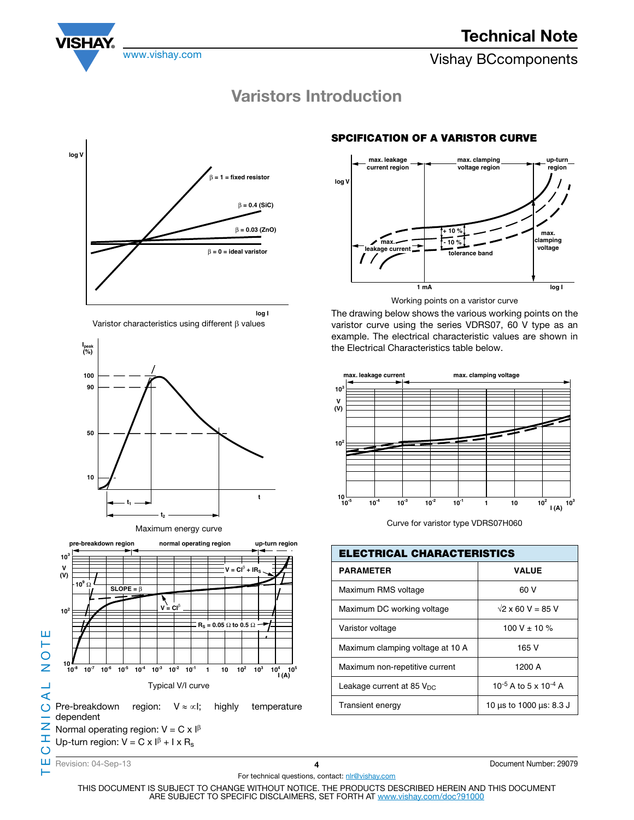

www.vishay.com **Vishay BCcomponents** 

# Varistors Introduction











## SPCIFICATION OF A VARISTOR CURVE



Working points on a varistor curve

The drawing below shows the various working points on the varistor curve using the series VDRS07, 60 V type as an example. The electrical characteristic values are shown in the Electrical Characteristics table below.



Curve for varistor type VDRS07H060

| <b>ELECTRICAL CHARACTERISTICS</b> |                          |  |  |  |  |  |
|-----------------------------------|--------------------------|--|--|--|--|--|
| <b>PARAMETER</b>                  | <b>VALUE</b>             |  |  |  |  |  |
| Maximum RMS voltage               | 60 V                     |  |  |  |  |  |
| Maximum DC working voltage        | $\sqrt{2}$ x 60 V = 85 V |  |  |  |  |  |
| Varistor voltage                  | 100 V $\pm$ 10 %         |  |  |  |  |  |
| Maximum clamping voltage at 10 A  | 165 V                    |  |  |  |  |  |
| Maximum non-repetitive current    | 1200 A                   |  |  |  |  |  |
| Leakage current at 85 $V_{DC}$    | 10-5 A to 5 x 10-4 A     |  |  |  |  |  |
| <b>Transient energy</b>           | 10 µs to 1000 µs: 8.3 J  |  |  |  |  |  |

Ш Revision: 04-Sep-13 4 Document Number: 29079

⊢

For technical questions, contact: nlr@vishay.com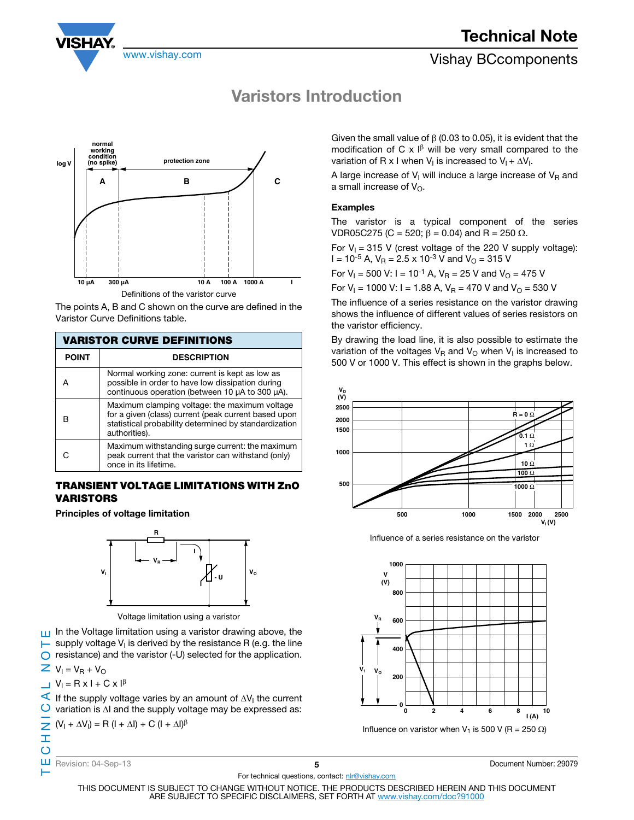

## Technical Note

## www.vishay.com **Vishay.com** Vishay BCcomponents

## Varistors Introduction



Definitions of the varistor curve

The points A, B and C shown on the curve are defined in the Varistor Curve Definitions table.

| <b>VARISTOR CURVE DEFINITIONS</b> |                                                                                                                                                                                 |  |  |  |  |  |  |
|-----------------------------------|---------------------------------------------------------------------------------------------------------------------------------------------------------------------------------|--|--|--|--|--|--|
| <b>POINT</b>                      | <b>DESCRIPTION</b>                                                                                                                                                              |  |  |  |  |  |  |
|                                   | Normal working zone: current is kept as low as<br>possible in order to have low dissipation during<br>continuous operation (between 10 µA to 300 µA).                           |  |  |  |  |  |  |
|                                   | Maximum clamping voltage: the maximum voltage<br>for a given (class) current (peak current based upon<br>statistical probability determined by standardization<br>authorities). |  |  |  |  |  |  |
|                                   | Maximum withstanding surge current: the maximum<br>peak current that the varistor can withstand (only)<br>once in its lifetime.                                                 |  |  |  |  |  |  |

## TRANSIENT VOLTAGE LIMITATIONS WITH ZnO VARISTORS

Principles of voltage limitation



Voltage limitation using a varistor

TECHNICAL NOTE In the Voltage limitation using a varistor drawing above, the  $\blacktriangleright$  supply voltage V<sub>I</sub> is derived by the resistance R (e.g. the line  $\bigcirc$  resistance) and the varistor (-U) selected for the application.

 $\overline{Z}$  V<sub>I</sub> = V<sub>R</sub> + V<sub>O</sub>

Ξ  $\overline{O}$ 

⊢

$$
V_1 = R \times I + C \times I^{\beta}
$$

If the supply voltage varies by an amount of  $\Delta V_1$  the current  $\bigcirc$  variation is  $\Delta I$  and the supply voltage may be expressed as:

$$
\sum (V_1 + \Delta V_1) = R (I + \Delta I) + C (I + \Delta I)^{\beta}
$$

ш

Revision: 04-Sep-13 **5 5 Document Number: 29079 Document Number: 29079** 

For technical questions, contact: nlr@vishay.com

THIS DOCUMENT IS SUBJECT TO CHANGE WITHOUT NOTICE. THE PRODUCTS DESCRIBED HEREIN AND THIS DOCUMENT ARE SUBJECT TO SPECIFIC DISCLAIMERS, SET FORTH AT www.vishay.com/doc?91000

Given the small value of  $\beta$  (0.03 to 0.05), it is evident that the modification of C  $\times$   $\beta$  will be very small compared to the variation of R x I when  $V_1$  is increased to  $V_1 + \Delta V_1$ .

A large increase of  $V<sub>l</sub>$  will induce a large increase of  $V<sub>R</sub>$  and a small increase of  $V_{\Omega}$ .

## **Examples**

The varistor is a typical component of the series VDR05C275 (C = 520;  $\beta$  = 0.04) and R = 250  $\Omega$ .

For  $V_1 = 315$  V (crest voltage of the 220 V supply voltage):  $I = 10^{-5}$  A,  $V_R = 2.5 \times 10^{-3}$  V and  $V_Q = 315$  V

For  $V_1 = 500$  V: I = 10<sup>-1</sup> A,  $V_R = 25$  V and  $V_Q = 475$  V

For  $V_1$  = 1000 V: I = 1.88 A,  $V_R$  = 470 V and  $V_Q$  = 530 V

The influence of a series resistance on the varistor drawing shows the influence of different values of series resistors on the varistor efficiency.

By drawing the load line, it is also possible to estimate the variation of the voltages  $V_R$  and  $V_Q$  when  $V_I$  is increased to 500 V or 1000 V. This effect is shown in the graphs below.



Influence of a series resistance on the varistor

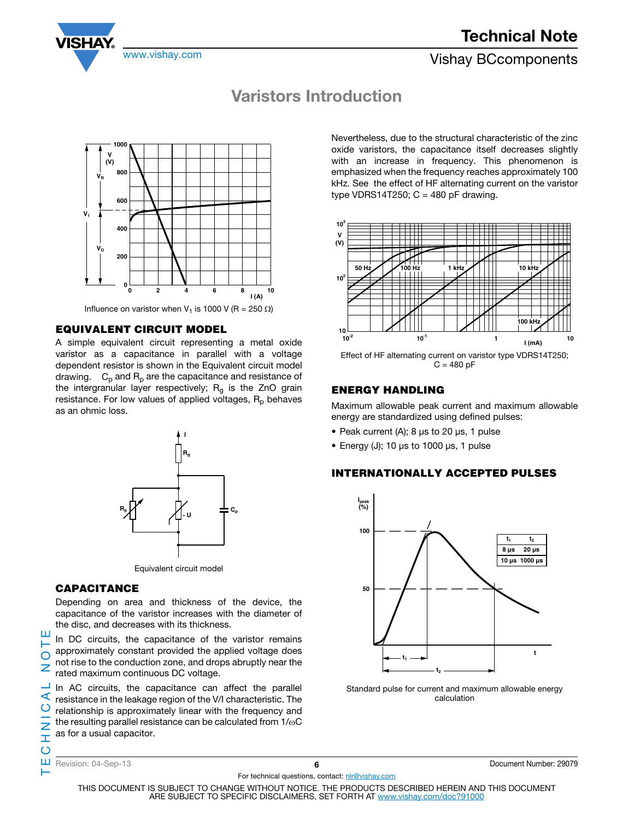## Technical Note



www.vishay.com **Vishay.com** Vishay BCcomponents

## Varistors Introduction



Influence on varistor when V<sub>1</sub> is 1000 V (R = 250  $\Omega$ )

## **EQUIVALENT CIRCUIT MODEL**

A simple equivalent circuit representing a metal oxide varistor as a capacitance in parallel with a voltage dependent resistor is shown in the Equivalent circuit model drawing.  $C_p$  and  $R_p$  are the capacitance and resistance of the intergranular layer respectively;  $R_g$  is the ZnO grain resistance. For low values of applied voltages,  $R_p$  behaves as an ohmic loss.



Equivalent circuit model

## **CAPACITANCE**

Depending on area and thickness of the device, the capacitance of the varistor increases with the diameter of the disc, and decreases with its thickness.

In DC circuits, the capacitance of the varistor remains approximately constant provided the applied voltage does not rise to the conduction zone, and drops abruptly near the rated maximum continuous DC voltage.

In AC circuits, the capacitance can affect the parallel resistance in the leakage region of the V/I characteristic. The relationship is approximately linear with the frequency and the resulting parallel resistance can be calculated from  $1/\omega C$ as for a usual capacitor.

Nevertheless, due to the structural characteristic of the zinc oxide varistors, the capacitance itself decreases slightly with an increase in frequency. This phenomenon is emphasized when the frequency reaches approximately 100 kHz. See the effect of HF alternating current on the varistor type VDRS14T250;  $C = 480$  pF drawing.



Effect of HF alternating current on varistor type VDRS14T250;  $C = 480 pF$ 

## **ENERGY HANDLING**

Maximum allowable peak current and maximum allowable energy are standardized using defined pulses:

- Peak current (A); 8 μs to 20 μs, 1 pulse
- Energy (J); 10 μs to 1000 μs, 1 pulse

## **INTERNATIONALLY ACCEPTED PULSES**



Standard pulse for current and maximum allowable energy calculation

ш н  $\overline{O}$ 

For technical questions, contact: nlr@vishay.com

Revision: 04-Sep-13 6 Document Number: 29079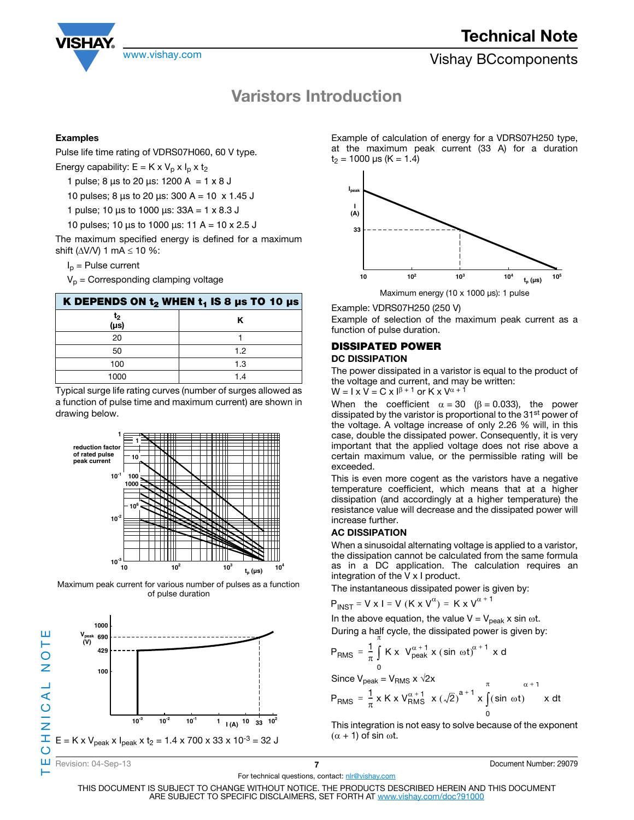

## Varistors Introduction

### Examples

Pulse life time rating of VDRS07H060, 60 V type.

Energy capability:  $E = K \times V_p \times I_p \times t_2$ 

1 pulse; 8  $\mu$ s to 20  $\mu$ s: 1200 A = 1 x 8 J

10 pulses; 8  $\mu$ s to 20  $\mu$ s: 300 A = 10 x 1.45 J

1 pulse; 10  $\mu$ s to 1000  $\mu$ s: 33A = 1 x 8.3 J

10 pulses; 10  $\mu$ s to 1000  $\mu$ s: 11 A = 10 x 2.5 J

The maximum specified energy is defined for a maximum shift ( $\Delta$ V/V) 1 mA  $\leq$  10 %:

 $I_p$  = Pulse current

 $V_p$  = Corresponding clamping voltage

| K DEPENDS ON $t_2$ WHEN $t_1$ IS 8 µs TO 10 µs |     |  |  |  |  |  |
|------------------------------------------------|-----|--|--|--|--|--|
| t2<br>(µs)                                     | ĸ   |  |  |  |  |  |
| 20                                             |     |  |  |  |  |  |
| 50                                             | 1.2 |  |  |  |  |  |
| 100                                            | 1.3 |  |  |  |  |  |
| 1000                                           | 14  |  |  |  |  |  |

Typical surge life rating curves (number of surges allowed as a function of pulse time and maximum current) are shown in drawing below.



Maximum peak current for various number of pulses as a function of pulse duration



Example of calculation of energy for a VDRS07H250 type, at the maximum peak current (33 A) for a duration  $t_2$  = 1000 μs (K = 1.4)



Example: VDRS07H250 (250 V)

Example of selection of the maximum peak current as a function of pulse duration.

## DISSIPATED POWER DC DISSIPATION

The power dissipated in a varistor is equal to the product of the voltage and current, and may be written:

 $W = I \times V = C \times I^{\beta + 1}$  or  $K \times V^{\alpha + 1}$ 

When the coefficient  $\alpha = 30$  ( $\beta = 0.033$ ), the power dissipated by the varistor is proportional to the 31<sup>st</sup> power of the voltage. A voltage increase of only 2.26 % will, in this case, double the dissipated power. Consequently, it is very important that the applied voltage does not rise above a certain maximum value, or the permissible rating will be exceeded.

This is even more cogent as the varistors have a negative temperature coefficient, which means that at a higher dissipation (and accordingly at a higher temperature) the resistance value will decrease and the dissipated power will increase further.

## AC DISSIPATION

When a sinusoidal alternating voltage is applied to a varistor, the dissipation cannot be calculated from the same formula as in a DC application. The calculation requires an integration of the V x I product.

The instantaneous dissipated power is given by:

$$
P_{INT} = V \times I = V (K \times V^{\alpha}) = K \times V^{\alpha + 1}
$$

In the above equation, the value  $V = V_{peak}$  x sin  $\omega t$ . During a half cycle, the dissipated power is given by:

$$
P_{RMS} = \frac{1}{\pi} \int_{0}^{R} K \times V_{peak}^{\alpha+1} \times (\sin \omega t)^{\alpha+1} \times d
$$

Since  $V_{\text{peak}} = V_{\text{RMS}} \times \sqrt{2x}$ 

$$
P_{RMS} = \frac{1}{\pi} \times K \times V_{RMS}^{\alpha+1} \times (\sqrt{2})^{a+1} \times \int_{0}^{\pi} (\sin \omega t) \qquad x \, dt
$$

This integration is not easy to solve because of the exponent  $(\alpha + 1)$  of sin  $\omega t$ .

 $\alpha + 1$ 

For technical questions, contact: nlr@vishay.com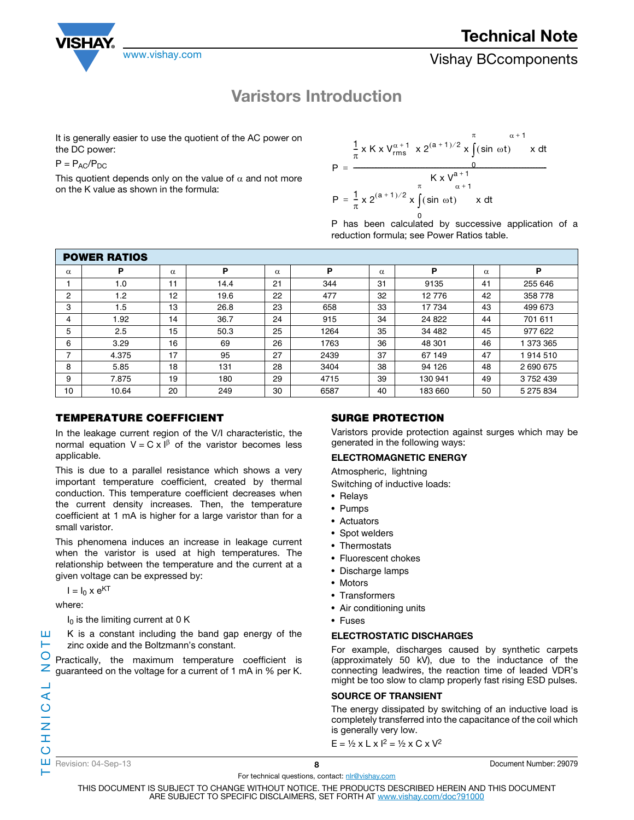

## Varistors Introduction

It is generally easier to use the quotient of the AC power on the DC power:

 $P = P_{AC}/P_{DC}$ 

This quotient depends only on the value of  $\alpha$  and not more on the K value as shown in the formula:

$$
P = \frac{\frac{1}{\pi} \times K \times V_{rms}^{\alpha+1} \times 2^{(a+1)/2} \times \int_{0}^{\pi} (\sin \omega t) \times dt}{K \times V_{\alpha+1}^{a+1}}
$$
  

$$
P = \frac{1}{\pi} \times 2^{(a+1)/2} \times \int_{0}^{\pi} (\sin \omega t) \times dt
$$

P has been calculated by successive application of a 0 reduction formula; see Power Ratios table.

| <b>POWER RATIOS</b> |       |          |      |          |      |          |         |          |           |
|---------------------|-------|----------|------|----------|------|----------|---------|----------|-----------|
| $\alpha$            | P     | $\alpha$ | P    | $\alpha$ | P    | $\alpha$ | P       | $\alpha$ | Р         |
|                     | 1.0   | 11       | 14.4 | 21       | 344  | 31       | 9135    | 41       | 255 646   |
| 2                   | 1.2   | 12       | 19.6 | 22       | 477  | 32       | 12 776  | 42       | 358 778   |
| 3                   | 1.5   | 13       | 26.8 | 23       | 658  | 33       | 17 734  | 43       | 499 673   |
| 4                   | 1.92  | 14       | 36.7 | 24       | 915  | 34       | 24 822  | 44       | 701 611   |
| 5                   | 2.5   | 15       | 50.3 | 25       | 1264 | 35       | 34 482  | 45       | 977 622   |
| 6                   | 3.29  | 16       | 69   | 26       | 1763 | 36       | 48 301  | 46       | 373 365   |
| 7                   | 4.375 | 17       | 95   | 27       | 2439 | 37       | 67 149  | 47       | 914 510   |
| 8                   | 5.85  | 18       | 131  | 28       | 3404 | 38       | 94 126  | 48       | 2690675   |
| 9                   | 7.875 | 19       | 180  | 29       | 4715 | 39       | 130 941 | 49       | 3752439   |
| 10                  | 10.64 | 20       | 249  | 30       | 6587 | 40       | 183 660 | 50       | 5 275 834 |

## **TEMPERATURE COEFFICIENT**

In the leakage current region of the V/I characteristic, the normal equation  $V = C \times I^{\beta}$  of the varistor becomes less applicable.

This is due to a parallel resistance which shows a very important temperature coefficient, created by thermal conduction. This temperature coefficient decreases when the current density increases. Then, the temperature coefficient at 1 mA is higher for a large varistor than for a small varistor.

This phenomena induces an increase in leakage current when the varistor is used at high temperatures. The relationship between the temperature and the current at a given voltage can be expressed by:

 $I = I_0 \times e^{KT}$ 

where:

 $I_0$  is the limiting current at 0 K

K is a constant including the band gap energy of the zinc oxide and the Boltzmann's constant.

O Practically, the maximum temperature coefficient is guaranteed on the voltage for a current of 1 mA in % per K.

## SURGE PROTECTION

Varistors provide protection against surges which may be generated in the following ways:

## ELECTROMAGNETIC ENERGY

Atmospheric, lightning

Switching of inductive loads:

- Relays
- Pumps
- Actuators
- Spot welders
- Thermostats
- Fluorescent chokes
- Discharge lamps
- Motors
- Transformers
- Air conditioning units
- Fuses

## ELECTROSTATIC DISCHARGES

For example, discharges caused by synthetic carpets (approximately 50 kV), due to the inductance of the connecting leadwires, the reaction time of leaded VDR's might be too slow to clamp properly fast rising ESD pulses.

## SOURCE OF TRANSIENT

The energy dissipated by switching of an inductive load is completely transferred into the capacitance of the coil which is generally very low.

 $E = \frac{1}{2} \times L \times 1^2 = \frac{1}{2} \times C \times V^2$ 

⊢

ш н

Revision: 04-Sep-13 8 Document Number: 29079

For technical questions, contact: nlr@vishay.com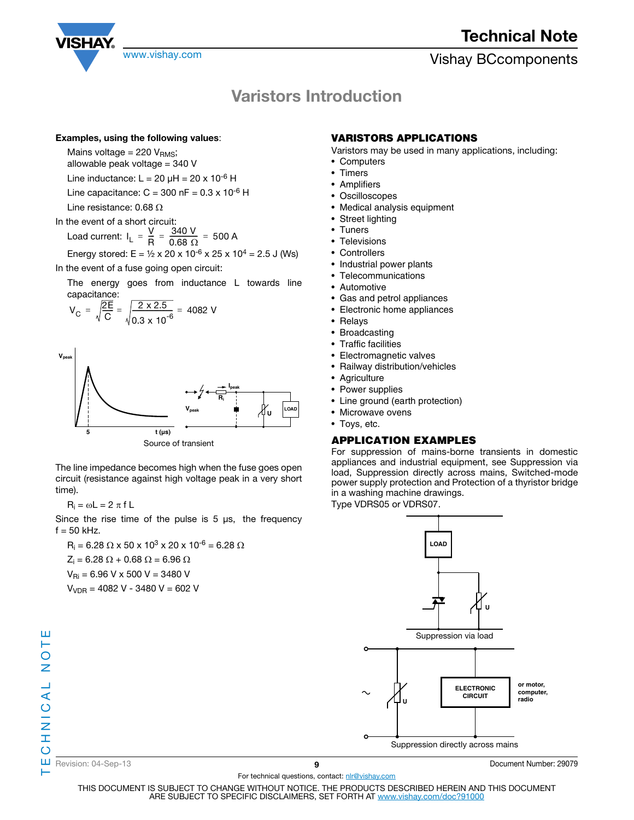

# Varistors Introduction

#### Examples, using the following values:

Mains voltage =  $220 V<sub>RMS</sub>$ ;

allowable peak voltage = 340 V

Line inductance:  $L = 20 \mu H = 20 \times 10^{-6} H$ 

Line capacitance:  $C = 300$  nF =  $0.3 \times 10^{-6}$  H

Line resistance: 0.68  $\Omega$ 

In the event of a short circuit: Load current:  $I_L = \frac{V}{R}$ Energy stored:  $E = \frac{1}{2} \times 20 \times 10^{-6} \times 25 \times 10^{4} = 2.5 \text{ J}$  (Ws)  $=\frac{V}{R}=\frac{340 V}{0.68 \Omega}=500 A$ 

In the event of a fuse going open circuit:

The energy goes from inductance L towards line capacitance:

$$
V_C = \sqrt{\frac{2E}{C}} = \sqrt{\frac{2 \times 2.5}{0.3 \times 10^{-6}}} = 4082 V
$$



Source of transient

The line impedance becomes high when the fuse goes open circuit (resistance against high voltage peak in a very short time).

 $R_i = \omega L = 2 \pi f L$ 

Since the rise time of the pulse is  $5 \mu s$ , the frequency  $f = 50$  kHz.

 $\mathsf{R}_{\mathsf{i}} = 6.28~\Omega \times 50 \times 10^3 \times 20 \times 10^{-6} = 6.28~\Omega$  $Z_i$  = 6.28  $\Omega$  + 0.68  $\Omega$  = 6.96  $\Omega$  $V_{\text{Ri}} = 6.96$  V x 500 V = 3480 V  $V_{VDR}$  = 4082 V - 3480 V = 602 V

## VARISTORS APPLICATIONS

- Varistors may be used in many applications, including:
- Computers
- Timers
- Amplifiers
- Oscilloscopes
- Medical analysis equipment
- Street lighting
- Tuners
- Televisions
- Controllers
- Industrial power plants
- Telecommunications
- Automotive
- Gas and petrol appliances
- Electronic home appliances
- Relays
- Broadcasting
- Traffic facilities
- Electromagnetic valves
- Railway distribution/vehicles
- Agriculture
- Power supplies
- Line ground (earth protection)
- Microwave ovens
- Toys, etc.

## **APPLICATION EXAMPLES**

For suppression of mains-borne transients in domestic appliances and industrial equipment, see Suppression via load, Suppression directly across mains, Switched-mode power supply protection and Protection of a thyristor bridge in a washing machine drawings.

Type VDRS05 or VDRS07.



**Revision: 04-Sep-13** Pocument Number: 29079

For technical questions, contact: nlr@vishay.com THIS DOCUMENT IS SUBJECT TO CHANGE WITHOUT NOTICE. THE PRODUCTS DESCRIBED HEREIN AND THIS DOCUMENT ARE SUBJECT TO SPECIFIC DISCLAIMERS, SET FORTH AT www.vishay.com/doc?91000

ш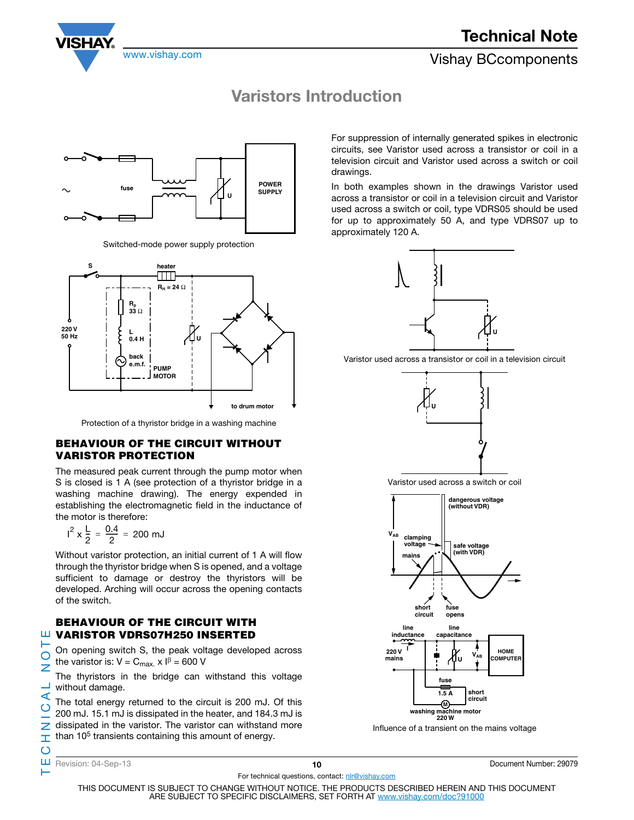Technical Note



www.vishay.com **Vishay BCcomponents** 

## Varistors Introduction



Switched-mode power supply protection



Protection of a thyristor bridge in a washing machine

## **BEHAVIOUR OF THE CIRCUIT WITHOUT VARISTOR PROTECTION**

The measured peak current through the pump motor when S is closed is 1 A (see protection of a thyristor bridge in a washing machine drawing). The energy expended in establishing the electromagnetic field in the inductance of the motor is therefore:

$$
I^2 \times \frac{L}{2} = \frac{0.4}{2} = 200 \text{ mJ}
$$

Without varistor protection, an initial current of 1 A will flow through the thyristor bridge when S is opened, and a voltage sufficient to damage or destroy the thyristors will be developed. Arching will occur across the opening contacts of the switch.

## **BEHAVIOUR OF THE CIRCUIT WITH VARISTOR VDRS07H250 INSERTED**

On opening switch S, the peak voltage developed across the varistor is:  $V = C_{max} \times 1^{\beta} = 600$  V

The thyristors in the bridge can withstand this voltage without damage.

The total energy returned to the circuit is 200 mJ. Of this 200 mJ. 15.1 mJ is dissipated in the heater, and 184.3 mJ is dissipated in the varistor. The varistor can withstand more than 10<sup>5</sup> transients containing this amount of energy.

**VALUATE: VARISTOR VI** 
$$
\overline{O}
$$
 **On opening switche varistor is:**  $V =$  **The thyristors in without damage. The total energy**  $200 \, \text{mJ}$ . **15.1 mJ ii**  $\overline{O}$  **disipated in the th iii the ivational ivational ivational ivational ivational in ivational in ivational in in in in in in in in in in in in in in in in in in in in in in in in in in in in in in in in in in in in in in in in in in in in in in in in in in in in in in in in in in in in in in in in in in in in in in in in in in in in**

ш

 $\overline{O}$ z

 $\prec$  $\mathsf O$ Z Ĩ.  $\circ$ 

⊢

10 Document Number: 29079

For technical questions, contact: nlr@vishay.com

THIS DOCUMENT IS SUBJECT TO CHANGE WITHOUT NOTICE. THE PRODUCTS DESCRIBED HEREIN AND THIS DOCUMENT ARE SUBJECT TO SPECIFIC DISCLAIMERS, SET FORTH AT www.vishay.com/doc?91000

For suppression of internally generated spikes in electronic circuits, see Varistor used across a transistor or coil in a television circuit and Varistor used across a switch or coil drawings.

In both examples shown in the drawings Varistor used across a transistor or coil in a television circuit and Varistor used across a switch or coil, type VDRS05 should be used for up to approximately 50 A, and type VDRS07 up to approximately 120 A.



Varistor used across a transistor or coil in a television circuit



Varistor used across a switch or coil



Influence of a transient on the mains voltage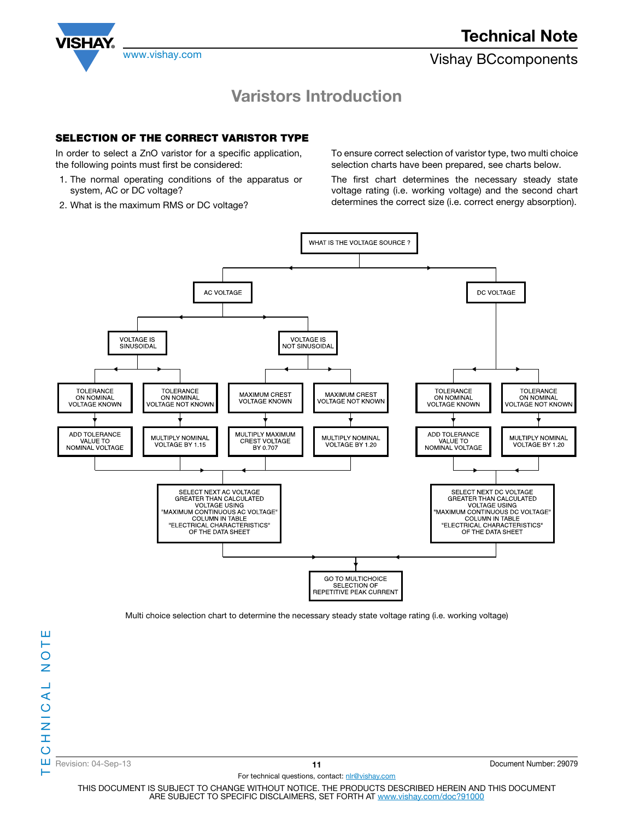

## Varistors Introduction

## SELECTION OF THE CORRECT VARISTOR TYPE

In order to select a ZnO varistor for a specific application, the following points must first be considered:

- 1. The normal operating conditions of the apparatus or system, AC or DC voltage?
- 2. What is the maximum RMS or DC voltage?

To ensure correct selection of varistor type, two multi choice selection charts have been prepared, see charts below.

The first chart determines the necessary steady state voltage rating (i.e. working voltage) and the second chart determines the correct size (i.e. correct energy absorption).



Multi choice selection chart to determine the necessary steady state voltage rating (i.e. working voltage)

ш

Revision: 04-Sep-13 **11 11** Document Number: 29079